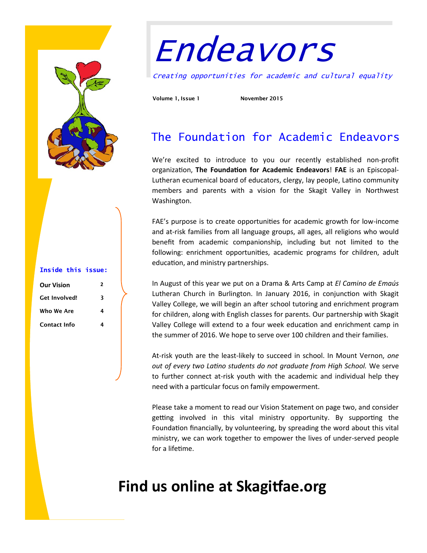

#### **Inside this issue:**

| <b>Our Vision</b>    | , |
|----------------------|---|
| <b>Get Involved!</b> | 3 |
| Who We Are           | 4 |
| <b>Contact Info</b>  | 4 |

# Endeavors

Creating opportunities for academic and cultural equality

**Volume 1, Issue 1 November 2015**

### The Foundation for Academic Endeavors

We're excited to introduce to you our recently established non-profit organization, **The Foundation for Academic Endeavors**! **FAE** is an Episcopal-Lutheran ecumenical board of educators, clergy, lay people, Latino community members and parents with a vision for the Skagit Valley in Northwest Washington.

FAE's purpose is to create opportunities for academic growth for low-income and at-risk families from all language groups, all ages, all religions who would benefit from academic companionship, including but not limited to the following: enrichment opportunities, academic programs for children, adult education, and ministry partnerships.

In August of this year we put on a Drama & Arts Camp at *El Camino de Emaús*  Lutheran Church in Burlington. In January 2016, in conjunction with Skagit Valley College, we will begin an after school tutoring and enrichment program for children, along with English classes for parents. Our partnership with Skagit Valley College will extend to a four week education and enrichment camp in the summer of 2016. We hope to serve over 100 children and their families.

At-risk youth are the least-likely to succeed in school. In Mount Vernon, *one out of every two Latino students do not graduate from High School.* We serve to further connect at-risk youth with the academic and individual help they need with a particular focus on family empowerment.

Please take a moment to read our Vision Statement on page two, and consider getting involved in this vital ministry opportunity. By supporting the Foundation financially, by volunteering, by spreading the word about this vital ministry, we can work together to empower the lives of under-served people for a lifetime.

## **Find us online at Skagitfae.org**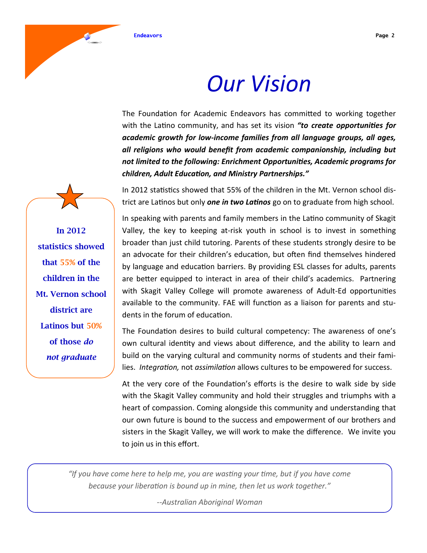

# *Our Vision*

The Foundation for Academic Endeavors has committed to working together with the Latino community, and has set its vision *"to create opportunities for academic growth for low-income families from all language groups, all ages, all religions who would benefit from academic companionship, including but not limited to the following: Enrichment Opportunities, Academic programs for children, Adult Education, and Ministry Partnerships."*

In 2012 statistics showed that 55% of the children in the Mt. Vernon school district are Latinos but only *one in two Latinos* go on to graduate from high school.

In speaking with parents and family members in the Latino community of Skagit Valley, the key to keeping at-risk youth in school is to invest in something broader than just child tutoring. Parents of these students strongly desire to be an advocate for their children's education, but often find themselves hindered by language and education barriers. By providing ESL classes for adults, parents are better equipped to interact in area of their child's academics. Partnering with Skagit Valley College will promote awareness of Adult-Ed opportunities available to the community. FAE will function as a liaison for parents and students in the forum of education.

The Foundation desires to build cultural competency: The awareness of one's own cultural identity and views about difference, and the ability to learn and build on the varying cultural and community norms of students and their families. *Integration,* not *assimilation* allows cultures to be empowered for success.

At the very core of the Foundation's efforts is the desire to walk side by side with the Skagit Valley community and hold their struggles and triumphs with a heart of compassion. Coming alongside this community and understanding that our own future is bound to the success and empowerment of our brothers and sisters in the Skagit Valley, we will work to make the difference. We invite you to join us in this effort.

*"If you have come here to help me, you are wasting your time, but if you have come because your liberation is bound up in mine, then let us work together."*

*--Australian Aboriginal Woman* 

**In 2012 statistics showed that 55% of the children in the Mt. Vernon school district are Latinos but 50% of those** *do not graduate*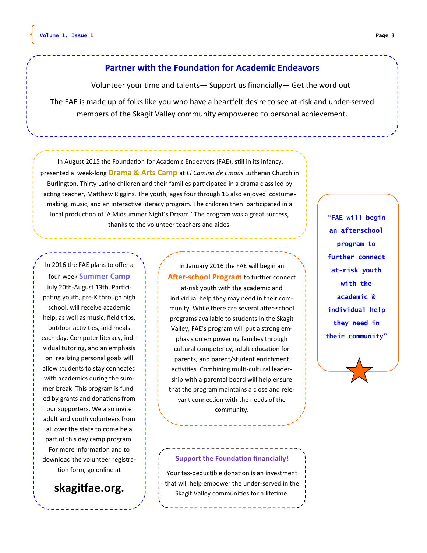#### **Partner with the Foundation for Academic Endeavors**

Volunteer your time and talents— Support us financially— Get the word out

The FAE is made up of folks like you who have a heartfelt desire to see at-risk and under-served members of the Skagit Valley community empowered to personal achievement.

In August 2015 the Foundation for Academic Endeavors (FAE), still in its infancy, presented a week-long **Drama & Arts Camp** at *El Camino de Emaús* Lutheran Church in Burlington. Thirty Latino children and their families participated in a drama class led by acting teacher, Matthew Riggins. The youth, ages four through 16 also enjoyed costumemaking, music, and an interactive literacy program. The children then participated in a local production of 'A Midsummer Night's Dream.' The program was a great success, thanks to the volunteer teachers and aides.

In 2016 the FAE plans to offer a four-week **Summer Camp**  July 20th-August 13th. Participating youth, pre-K through high school, will receive academic help, as well as music, field trips, outdoor activities, and meals each day. Computer literacy, individual tutoring, and an emphasis on realizing personal goals will allow students to stay connected with academics during the summer break. This program is funded by grants and donations from our supporters. We also invite adult and youth volunteers from all over the state to come be a part of this day camp program.

For more information and to download the volunteer registration form, go online at

#### **skagitfae.org.**

In January 2016 the FAE will begin an **After-school Program** to further connect at-risk youth with the academic and individual help they may need in their community. While there are several after-school programs available to students in the Skagit Valley, FAE's program will put a strong emphasis on empowering families through cultural competency, adult education for parents, and parent/student enrichment activities. Combining multi-cultural leadership with a parental board will help ensure that the program maintains a close and relevant connection with the needs of the community.

**"FAE will begin an afterschool program to further connect at-risk youth with the academic & individual help they need in their community"**



#### **Support the Foundation financially!**

Your tax-deductible donation is an investment that will help empower the under-served in the Skagit Valley communities for a lifetime.